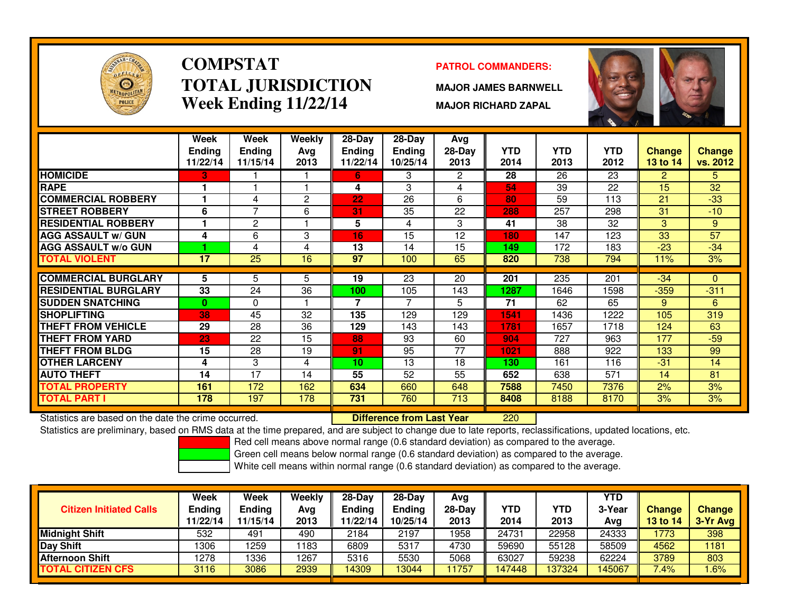

# **COMPSTATTOTAL JURISDICTIONWeek Ending 11/22/14**

### **PATROL COMMANDERS:**

**MAJOR JAMES BARNWELL**

**MAJOR RICHARD ZAPAL**



|                             | Week                      | <b>Week</b>               | Weekly      | $28 - Day$                | $28 - Day$                | <b>Avg</b>       |                    |                    |                    |                           |                           |
|-----------------------------|---------------------------|---------------------------|-------------|---------------------------|---------------------------|------------------|--------------------|--------------------|--------------------|---------------------------|---------------------------|
|                             | <b>Ending</b><br>11/22/14 | <b>Ending</b><br>11/15/14 | Avg<br>2013 | <b>Ending</b><br>11/22/14 | <b>Ending</b><br>10/25/14 | $28-Day$<br>2013 | <b>YTD</b><br>2014 | <b>YTD</b><br>2013 | <b>YTD</b><br>2012 | <b>Change</b><br>13 to 14 | <b>Change</b><br>vs. 2012 |
| <b>HOMICIDE</b>             | З.                        |                           |             | 6.                        | 3                         | $\overline{2}$   | 28                 | 26                 | 23                 | $\overline{2}$            | 5.                        |
| <b>RAPE</b>                 |                           |                           |             | 4                         | 3                         | 4                | 54                 | 39                 | 22                 | 15                        | 32                        |
| <b>COMMERCIAL ROBBERY</b>   |                           | 4                         | 2           | 22                        | 26                        | 6                | 80                 | 59                 | $\overline{113}$   | 21                        | $-33$                     |
| <b>STREET ROBBERY</b>       | 6                         | 7                         | 6           | 31                        | 35                        | 22               | 288                | 257                | 298                | 31                        | $-10$                     |
| <b>RESIDENTIAL ROBBERY</b>  |                           | 2                         |             | 5                         | 4                         | 3                | 41                 | 38                 | 32                 | 3                         | 9                         |
| <b>AGG ASSAULT w/ GUN</b>   | 4                         | 6                         | 3           | 16                        | 15                        | 12               | 180                | 147                | 123                | 33                        | 57                        |
| <b>AGG ASSAULT w/o GUN</b>  |                           | 4                         | 4           | 13                        | 14                        | 15               | 149                | 172                | 183                | $-23$                     | $-34$                     |
| <b>TOTAL VIOLENT</b>        | $\overline{17}$           | $\overline{25}$           | 16          | 97                        | 100                       | 65               | 820                | 738                | 794                | 11%                       | 3%                        |
|                             | 5                         |                           |             |                           |                           |                  |                    |                    |                    |                           |                           |
| <b>COMMERCIAL BURGLARY</b>  |                           | 5                         | 5           | 19                        | 23                        | 20               | 201                | 235                | 201                | $-34$                     | $\Omega$                  |
| <b>RESIDENTIAL BURGLARY</b> | 33                        | 24                        | 36          | 100                       | 105                       | 143              | 1287               | 1646               | 1598               | $-359$                    | $-311$                    |
| <b>SUDDEN SNATCHING</b>     | $\mathbf{0}$              | $\Omega$                  |             | 7                         | $\overline{7}$            | 5                | 71                 | 62                 | 65                 | 9                         | 6                         |
| <b>SHOPLIFTING</b>          | 38                        | 45                        | 32          | 135                       | 129                       | 129              | 1541               | 1436               | 1222               | 105                       | 319                       |
| <b>THEFT FROM VEHICLE</b>   | 29                        | 28                        | 36          | 129                       | 143                       | 143              | 1781               | 1657               | 1718               | 124                       | 63                        |
| <b>THEFT FROM YARD</b>      | 23                        | 22                        | 15          | 88                        | 93                        | 60               | 904                | 727                | 963                | 177                       | $-59$                     |
| <b>THEFT FROM BLDG</b>      | 15                        | 28                        | 19          | 91                        | 95                        | 77               | 1021               | 888                | 922                | 133                       | 99                        |
| <b>OTHER LARCENY</b>        | 4                         | 3                         | 4           | 10                        | 13                        | 18               | 130                | 161                | 116                | $-31$                     | 14                        |
| <b>AUTO THEFT</b>           | 14                        | 17                        | 14          | 55                        | 52                        | 55               | 652                | 638                | 571                | 14                        | 81                        |
| <b>TOTAL PROPERTY</b>       | 161                       | 172                       | 162         | 634                       | 660                       | 648              | 7588               | 7450               | 7376               | 2%                        | 3%                        |
| <b>TOTAL PART I</b>         | 178                       | 197                       | 178         | 731                       | 760                       | 713              | 8408               | 8188               | 8170               | 3%                        | 3%                        |

Statistics are based on the date the crime occurred. **Difference from Last Year** 

<sup>220</sup>

Statistics are preliminary, based on RMS data at the time prepared, and are subject to change due to late reports, reclassifications, updated locations, etc.

Red cell means above normal range (0.6 standard deviation) as compared to the average.

Green cell means below normal range (0.6 standard deviation) as compared to the average.

| <b>Citizen Initiated Calls</b> | Week<br><b>Ending</b><br>11/22/14 | Week<br>Ending<br>11/15/14 | Weekly<br>Avg<br>2013 | $28-Dav$<br>Ending<br>1/22/14 | $28 - Day$<br><b>Ending</b><br>10/25/14 | Avg<br>$28-Dav$<br>2013 | YTD<br>2014 | <b>YTD</b><br>2013 | <b>YTD</b><br>3-Year<br>Avg | <b>Change</b><br><b>13 to 14</b> | <b>Change</b><br>3-Yr Avg |
|--------------------------------|-----------------------------------|----------------------------|-----------------------|-------------------------------|-----------------------------------------|-------------------------|-------------|--------------------|-----------------------------|----------------------------------|---------------------------|
| <b>Midnight Shift</b>          | 532                               | 491                        | 490                   | 2184                          | 2197                                    | 1958                    | 24731       | 22958              | 24333                       | 1773                             | 398                       |
| <b>Day Shift</b>               | 1306                              | 1259                       | 183                   | 6809                          | 5317                                    | 4730                    | 59690       | 55128              | 58509                       | 4562                             | 181                       |
| <b>Afternoon Shift</b>         | 1278                              | 1336                       | 1267                  | 5316                          | 5530                                    | 5068                    | 63027       | 59238              | 62224                       | 3789                             | 803                       |
| <b>TOTAL CITIZEN CFS</b>       | 3116                              | 3086                       | 2939                  | 14309                         | 13044                                   | 1757                    | 47448       | 137324             | <b>45067</b>                | 7.4%                             | .6%                       |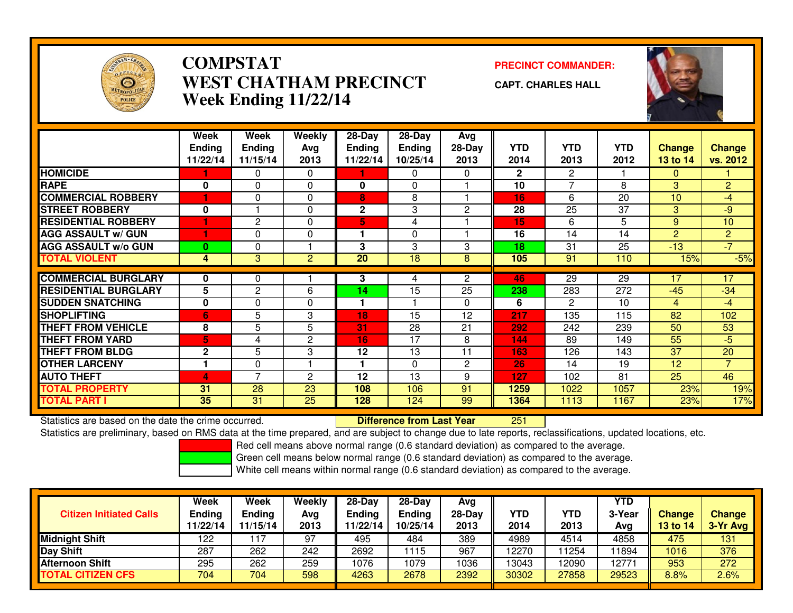

### **COMPSTATPRECINCT COMMANDER:**<br>A TITLA NALIDED TO TALCINE OF THE COMMAND PRECINCT OF THE COMMAND OF THE COMMAND OF THE COMMAND OF THE COMMAND OF THE COMMAND OF THE COMMAND OF THE COMMAND OF THE COMMAND OF THE COMMAND OF THE COMMAND **WEST CHATHAM PRECINCTWeek Ending 11/22/14**

**CAPT. CHARLES HALL**



|                             | Week<br><b>Ending</b><br>11/22/14 | Week<br><b>Ending</b><br>11/15/14 | <b>Weekly</b><br>Ava<br>2013 | $28 - Day$<br><b>Ending</b><br>11/22/14 | $28 - Day$<br><b>Ending</b><br>10/25/14 | <b>Avg</b><br>$28-Day$<br>2013 | <b>YTD</b><br>2014 | <b>YTD</b><br>2013   | <b>YTD</b><br>2012 | <b>Change</b><br>13 to 14 | <b>Change</b><br>vs. 2012 |
|-----------------------------|-----------------------------------|-----------------------------------|------------------------------|-----------------------------------------|-----------------------------------------|--------------------------------|--------------------|----------------------|--------------------|---------------------------|---------------------------|
| <b>HOMICIDE</b>             |                                   | 0                                 | 0                            |                                         | 0                                       | $\Omega$                       | $\mathbf{2}$       | $\mathbf{2}^{\circ}$ |                    | $\mathbf{0}$              |                           |
| <b>RAPE</b>                 | $\bf{0}$                          | 0                                 | 0                            | $\mathbf{0}$                            | $\Omega$                                |                                | 10                 | $\overline{7}$       | 8                  | 3                         | $\overline{2}$            |
| <b>COMMERCIAL ROBBERY</b>   |                                   | 0                                 | $\Omega$                     | 8                                       | 8                                       |                                | 16                 | 6                    | 20                 | 10                        | $-4$                      |
| <b>STREET ROBBERY</b>       | 0                                 |                                   | $\Omega$                     | $\mathbf{2}$                            | 3                                       | $\overline{2}$                 | 28                 | 25                   | 37                 | 3                         | $-9$                      |
| <b>RESIDENTIAL ROBBERY</b>  | н                                 | 2                                 | $\Omega$                     | 5.                                      | 4                                       |                                | 15                 | 6                    | 5                  | 9                         | 10                        |
| <b>AGG ASSAULT w/ GUN</b>   |                                   | 0                                 | $\Omega$                     |                                         | $\Omega$                                |                                | 16                 | 14                   | 14                 | 2                         | $\overline{2}$            |
| <b>AGG ASSAULT w/o GUN</b>  | $\bf{0}$                          | 0                                 |                              | 3                                       | 3                                       | 3                              | 18                 | 31                   | 25                 | $-13$                     | $-7$                      |
| <b>TOTAL VIOLENT</b>        | 4                                 | 3                                 | $\overline{2}$               | $\overline{20}$                         | 18                                      | 8                              | 105                | 91                   | 110                | 15%                       | $-5%$                     |
| <b>COMMERCIAL BURGLARY</b>  | 0                                 | 0                                 |                              | 3                                       | 4                                       | $\mathbf{2}^{\prime}$          | 46                 | 29                   | 29                 | 17                        | 17                        |
| <b>RESIDENTIAL BURGLARY</b> | 5                                 | 2                                 | 6                            | 14                                      | 15                                      | 25                             | 238                | 283                  | 272                | $-45$                     | $-34$                     |
| <b>SUDDEN SNATCHING</b>     | 0                                 | 0                                 | $\Omega$                     |                                         |                                         | $\Omega$                       | 6                  | 2                    | 10                 | $\overline{4}$            | $-4$                      |
| <b>SHOPLIFTING</b>          | 6                                 | 5                                 | 3                            | 18                                      | 15                                      | 12                             | 217                | 135                  | 115                | 82                        | 102                       |
| <b>THEFT FROM VEHICLE</b>   | 8                                 | 5                                 | 5                            | 31                                      | 28                                      | 21                             | 292                | 242                  | 239                | 50                        | 53                        |
| <b>THEFT FROM YARD</b>      | 5                                 | 4                                 | 2                            | 16                                      | 17                                      | 8                              | 144                | 89                   | 149                | 55                        | $-5$                      |
| <b>THEFT FROM BLDG</b>      | $\mathbf{2}$                      | 5                                 | 3                            | 12                                      | 13                                      | 11                             | 163                | 126                  | 143                | 37                        | 20                        |
| <b>OTHER LARCENY</b>        |                                   | 0                                 |                              |                                         | $\Omega$                                | $\overline{2}$                 | 26                 | 14                   | 19                 | 12                        | $\overline{7}$            |
| <b>AUTO THEFT</b>           | 4                                 | $\overline{7}$                    | 2                            | 12                                      | 13                                      | 9                              | 127                | 102                  | 81                 | 25                        | 46                        |
| <b>TOTAL PROPERTY</b>       | 31                                | 28                                | 23                           | 108                                     | 106                                     | 91                             | 1259               | 1022                 | 1057               | 23%                       | 19%                       |
| <b>TOTAL PART I</b>         | 35                                | 31                                | 25                           | 128                                     | 124                                     | 99                             | 1364               | 1113                 | 1167               | 23%                       | 17%                       |

Statistics are based on the date the crime occurred. **Difference from Last Year** 

<sup>251</sup>

Statistics are preliminary, based on RMS data at the time prepared, and are subject to change due to late reports, reclassifications, updated locations, etc.

Red cell means above normal range (0.6 standard deviation) as compared to the average.

Green cell means below normal range (0.6 standard deviation) as compared to the average.

| <b>Citizen Initiated Calls</b> | Week<br><b>Ending</b><br>11/22/14 | Week<br>Ending<br>11/15/14 | Weekly<br>Avg<br>2013 | 28-Day<br><b>Ending</b><br>11/22/14 | $28-Day$<br><b>Ending</b><br>10/25/14 | Avg<br>28-Day<br>2013 | YTD<br>2014 | YTD<br>2013 | <b>YTD</b><br>3-Year<br>Avg | <b>Change</b><br>13 to 14 | <b>Change</b><br>3-Yr Avg |
|--------------------------------|-----------------------------------|----------------------------|-----------------------|-------------------------------------|---------------------------------------|-----------------------|-------------|-------------|-----------------------------|---------------------------|---------------------------|
| <b>Midnight Shift</b>          | 122                               |                            | 97                    | 495                                 | 484                                   | 389                   | 4989        | 4514        | 4858                        | 475                       | 131                       |
| <b>Day Shift</b>               | 287                               | 262                        | 242                   | 2692                                | 115                                   | 967                   | 12270       | 1254        | 1894                        | 1016                      | 376                       |
| <b>Afternoon Shift</b>         | 295                               | 262                        | 259                   | 1076                                | 1079                                  | 1036                  | 13043       | 2090        | 12771                       | 953                       | 272                       |
| <b>TOTAL CITIZEN CFS</b>       | 704                               | 704                        | 598                   | 4263                                | 2678                                  | 2392                  | 30302       | 27858       | 29523                       | 8.8%                      | 2.6%                      |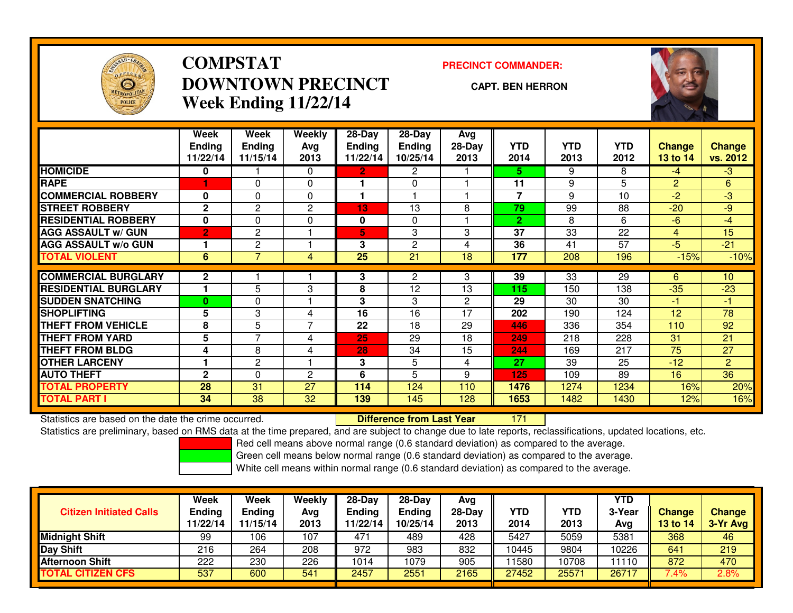

# **COMPSTATDOWNTOWN PRECINCTWeek Ending 11/22/14**

### **PRECINCT COMMANDER:**

#### **CAPT. BEN HERRON**

<sup>171</sup>



|                             | Week<br><b>Ending</b><br>11/22/14 | Week<br><b>Ending</b><br>11/15/14 | Weekly<br>Avg<br>2013 | $28-Day$<br><b>Ending</b><br>11/22/14 | $28-Day$<br><b>Ending</b><br>10/25/14 | Avg<br>28-Day<br>2013 | <b>YTD</b><br>2014 | <b>YTD</b><br>2013 | <b>YTD</b><br>2012 | <b>Change</b><br>13 to 14 | <b>Change</b><br>vs. 2012 |
|-----------------------------|-----------------------------------|-----------------------------------|-----------------------|---------------------------------------|---------------------------------------|-----------------------|--------------------|--------------------|--------------------|---------------------------|---------------------------|
| <b>HOMICIDE</b>             | 0                                 |                                   | $\Omega$              | $\mathbf{2}$                          | 2                                     |                       | 5.                 | 9                  | 8                  | $-4$                      | $-3$                      |
| <b>RAPE</b>                 | 1                                 | $\Omega$                          | 0                     |                                       | $\Omega$                              |                       | 11                 | 9                  | 5                  | 2                         | 6                         |
| <b>COMMERCIAL ROBBERY</b>   | $\bf{0}$                          | $\Omega$                          | 0                     |                                       |                                       |                       | $\overline{7}$     | 9                  | 10                 | $-2$                      | $\overline{3}$            |
| <b>STREET ROBBERY</b>       | $\mathbf{2}$                      | 2                                 | 2                     | 13                                    | 13                                    | 8                     | 79                 | 99                 | 88                 | $-20$                     | $-9$                      |
| <b>RESIDENTIAL ROBBERY</b>  | $\bf{0}$                          | $\Omega$                          | 0                     | 0                                     | 0                                     |                       | $\mathbf{2}$       | 8                  | 6                  | $-6$                      | $-4$                      |
| <b>AGG ASSAULT w/ GUN</b>   | $\overline{2}$                    | 2                                 |                       | 5                                     | 3                                     | 3                     | 37                 | 33                 | 22                 | 4                         | 15                        |
| <b>AGG ASSAULT w/o GUN</b>  |                                   | 2                                 | ٠                     | 3                                     | $\overline{c}$                        | 4                     | 36                 | 41                 | 57                 | $-5$                      | $-21$                     |
| <b>TOTAL VIOLENT</b>        | $6\overline{6}$                   | $\overline{7}$                    | 4                     | $\overline{25}$                       | $\overline{21}$                       | $\overline{18}$       | 177                | 208                | 196                | $-15%$                    | $-10%$                    |
|                             |                                   |                                   |                       |                                       |                                       |                       |                    |                    |                    |                           |                           |
| <b>COMMERCIAL BURGLARY</b>  | $\mathbf{2}$                      |                                   |                       | 3                                     | $\mathbf{2}$                          | 3                     | 39                 | 33                 | 29                 | 6                         | 10 <sup>°</sup>           |
| <b>RESIDENTIAL BURGLARY</b> |                                   | 5                                 | 3                     | 8                                     | 12                                    | 13                    | 115                | 150                | 138                | $-35$                     | $-23$                     |
| <b>SUDDEN SNATCHING</b>     | $\bf{0}$                          | $\Omega$                          |                       | 3                                     | 3                                     | $\mathbf{2}$          | 29                 | 30                 | 30                 | $-1$                      | -1                        |
| <b>SHOPLIFTING</b>          | 5                                 | 3                                 | 4                     | 16                                    | 16                                    | 17                    | 202                | 190                | 124                | 12                        | $\overline{78}$           |
| <b>THEFT FROM VEHICLE</b>   | 8                                 | 5                                 | $\overline{7}$        | 22                                    | 18                                    | 29                    | 446                | 336                | 354                | 110                       | 92                        |
| <b>THEFT FROM YARD</b>      | 5                                 | 7                                 | 4                     | 25                                    | 29                                    | 18                    | 249                | 218                | 228                | 31                        | 21                        |
| <b>THEFT FROM BLDG</b>      | 4                                 | 8                                 | 4                     | 28                                    | 34                                    | 15                    | 244                | 169                | 217                | 75                        | 27                        |
| <b>OTHER LARCENY</b>        |                                   | $\overline{2}$                    |                       | 3                                     | 5                                     | 4                     | 27                 | 39                 | 25                 | $-12$                     | $\overline{2}$            |
| <b>AUTO THEFT</b>           | $\mathbf{2}$                      | $\Omega$                          | 2                     | 6                                     | 5                                     | 9                     | 125                | 109                | 89                 | 16                        | 36                        |
| <b>TOTAL PROPERTY</b>       | 28                                | 31                                | 27                    | 114                                   | 124                                   | 110                   | 1476               | 1274               | 1234               | 16%                       | 20%                       |
| <b>TOTAL PART I</b>         | 34                                | 38                                | 32                    | 139                                   | 145                                   | 128                   | 1653               | 1482               | 1430               | 12%                       | 16%                       |

Statistics are based on the date the crime occurred. **Difference from Last Year** 

Statistics are preliminary, based on RMS data at the time prepared, and are subject to change due to late reports, reclassifications, updated locations, etc.

Red cell means above normal range (0.6 standard deviation) as compared to the average.

Green cell means below normal range (0.6 standard deviation) as compared to the average.

| <b>Citizen Initiated Calls</b> | Week<br><b>Ending</b><br>11/22/14 | Week<br><b>Ending</b><br>11/15/14 | Weekly<br>Avg<br>2013 | $28-Dav$<br><b>Ending</b><br>11/22/14 | 28-Day<br><b>Ending</b><br>10/25/14 | Avg<br>28-Day<br>2013 | YTD<br>2014 | YTD<br>2013 | <b>YTD</b><br>3-Year<br>Avg | <b>Change</b><br><b>13 to 14</b> | <b>Change</b><br>3-Yr Avg |
|--------------------------------|-----------------------------------|-----------------------------------|-----------------------|---------------------------------------|-------------------------------------|-----------------------|-------------|-------------|-----------------------------|----------------------------------|---------------------------|
| <b>Midnight Shift</b>          | 99                                | 106                               | 107                   | 47 <sup>4</sup>                       | 489                                 | 428                   | 5427        | 5059        | 5381                        | 368                              | 46                        |
| Day Shift                      | 216                               | 264                               | 208                   | 972                                   | 983                                 | 832                   | 10445       | 9804        | 10226                       | 641                              | 219                       |
| <b>Afternoon Shift</b>         | 222                               | 230                               | 226                   | 1014                                  | 1079                                | 905                   | 1580        | 10708       | 1110                        | 872                              | 470                       |
| <b>TOTAL CITIZEN CFS</b>       | 537                               | 600                               | 541                   | 2457                                  | 2551                                | 2165                  | 27452       | 25571       | 26717                       | 7.4%                             | 2.8%                      |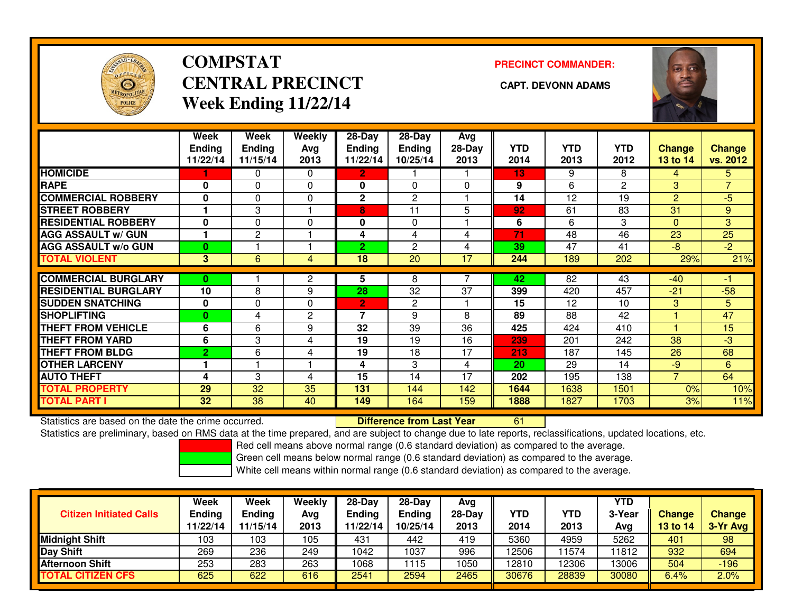

# **COMPSTATCENTRAL PRECINCT** CAPT. DEVONN ADAMS **Week Ending 11/22/14**

**PRECINCT COMMANDER:**



|                             | Week<br><b>Endina</b><br>11/22/14 | Week<br><b>Ending</b><br>11/15/14 | Weekly<br>Ava<br>2013 | $28$ -Day<br><b>Endina</b><br>11/22/14 | $28$ -Day<br><b>Ending</b><br>10/25/14 | Avg<br>$28-Day$<br>2013 | <b>YTD</b><br>2014 | <b>YTD</b><br>2013 | <b>YTD</b><br>2012 | <b>Change</b><br>13 to 14 | <b>Change</b><br>vs. 2012 |
|-----------------------------|-----------------------------------|-----------------------------------|-----------------------|----------------------------------------|----------------------------------------|-------------------------|--------------------|--------------------|--------------------|---------------------------|---------------------------|
| <b>HOMICIDE</b>             |                                   | 0                                 | 0                     | $\overline{2}$                         |                                        |                         | 13                 | 9                  | 8                  | 4                         | 5.                        |
| <b>RAPE</b>                 | 0                                 | 0                                 | $\Omega$              | $\mathbf{0}$                           | $\Omega$                               | $\Omega$                | 9                  | 6                  | $\mathbf{2}$       | 3                         | 7                         |
| <b>COMMERCIAL ROBBERY</b>   | $\bf{0}$                          | 0                                 | 0                     | $\mathbf{2}$                           | $\mathbf{2}$                           |                         | 14                 | 12                 | 19                 | $\overline{2}$            | $-5$                      |
| <b>STREET ROBBERY</b>       |                                   | 3                                 |                       | 8                                      | 11                                     | 5                       | 92                 | 61                 | 83                 | 31                        | 9                         |
| <b>RESIDENTIAL ROBBERY</b>  | $\bf{0}$                          | $\Omega$                          | 0                     | 0                                      | $\Omega$                               |                         | 6                  | 6                  | 3                  | $\Omega$                  | 3                         |
| <b>AGG ASSAULT w/ GUN</b>   |                                   | 2                                 |                       | 4                                      | 4                                      | 4                       | 71                 | 48                 | 46                 | 23                        | 25                        |
| <b>AGG ASSAULT w/o GUN</b>  | $\bf{0}$                          |                                   |                       | 2                                      | 2                                      | 4                       | 39                 | 47                 | 41                 | -8                        | $-2$                      |
| <b>TOTAL VIOLENT</b>        | 3                                 | 6                                 | 4                     | 18                                     | 20                                     | 17                      | 244                | 189                | 202                | 29%                       | 21%                       |
| <b>COMMERCIAL BURGLARY</b>  | 0                                 |                                   | $\overline{2}$        | 5                                      | 8                                      |                         | 42                 | 82                 | 43                 | $-40$                     |                           |
| <b>RESIDENTIAL BURGLARY</b> | 10                                | 8                                 | 9                     | 28                                     | 32                                     | 37                      | 399                | 420                | 457                | $-21$                     | $-58$                     |
| <b>SUDDEN SNATCHING</b>     | 0                                 | 0                                 | 0                     | 2                                      | 2                                      |                         | 15                 | 12                 | 10                 | 3                         | 5                         |
| <b>SHOPLIFTING</b>          | $\bf{0}$                          | 4                                 | $\mathbf{2}$          | 7                                      | 9                                      | 8                       | 89                 | 88                 | 42                 |                           | $\overline{47}$           |
| <b>THEFT FROM VEHICLE</b>   | 6                                 | 6                                 | 9                     | 32                                     | 39                                     | 36                      | 425                | 424                | 410                | и                         | 15                        |
| <b>THEFT FROM YARD</b>      |                                   |                                   |                       |                                        |                                        |                         |                    |                    |                    |                           |                           |
|                             | 6                                 | 3                                 | 4                     | 19                                     | 19                                     | 16                      | 239                | 201                | 242                | 38                        | $-3$                      |
| <b>THEFT FROM BLDG</b>      | $\overline{2}$                    | 6                                 | 4                     | 19                                     | 18                                     | 17                      | 213                | 187                | 145                | 26                        | 68                        |
| <b>OTHER LARCENY</b>        |                                   |                                   |                       | 4                                      | 3                                      | 4                       | 20                 | 29                 | 14                 | $-9$                      | 6                         |
| <b>AUTO THEFT</b>           | 4                                 | 3                                 | 4                     | 15                                     | 14                                     | 17                      | 202                | 195                | 138                | $\overline{7}$            | 64                        |
| <b>TOTAL PROPERTY</b>       | 29                                | 32                                | 35                    | 131                                    | 144                                    | 142                     | 1644               | 1638               | 1501               | 0%                        | 10%                       |
| <b>TOTAL PART I</b>         | 32                                | 38                                | 40                    | 149                                    | 164                                    | 159                     | 1888               | 1827               | 1703               | 3%                        | 11%                       |

Statistics are based on the date the crime occurred. **Difference from Last Year** 

Statistics are based on the date the crime occurred.<br>Statistics are preliminary, based on RMS data at the time prepared, and are subject to change due to late reports, reclassifications, updated locations, etc.

Red cell means above normal range (0.6 standard deviation) as compared to the average.

Green cell means below normal range (0.6 standard deviation) as compared to the average.

| <b>Citizen Initiated Calls</b> | Week<br>Ending<br>11/22/14 | Week<br>Ending<br>11/15/14 | Weekly<br>Avg<br>2013 | $28-Day$<br>Ending<br>11/22/14 | $28-Day$<br><b>Ending</b><br>10/25/14 | Avg<br>$28-Dav$<br>2013 | YTD<br>2014 | YTD<br>2013 | <b>YTD</b><br>3-Year<br>Avg | <b>Change</b><br><b>13 to 14</b> | <b>Change</b><br>3-Yr Avg |
|--------------------------------|----------------------------|----------------------------|-----------------------|--------------------------------|---------------------------------------|-------------------------|-------------|-------------|-----------------------------|----------------------------------|---------------------------|
| Midnight Shift                 | 103                        | 103                        | 105                   | 431                            | 442                                   | 419                     | 5360        | 4959        | 5262                        | 401                              | 98                        |
| Day Shift                      | 269                        | 236                        | 249                   | 1042                           | 1037                                  | 996                     | 12506       | 1574        | 1812                        | 932                              | 694                       |
| <b>Afternoon Shift</b>         | 253                        | 283                        | 263                   | 1068                           | 115                                   | 1050                    | 12810       | 2306        | 13006                       | 504                              | $-196$                    |
| <b>TOTAL CITIZEN CFS</b>       | 625                        | 622                        | 616                   | 2541                           | 2594                                  | 2465                    | 30676       | 28839       | 30080                       | 6.4%                             | 2.0%                      |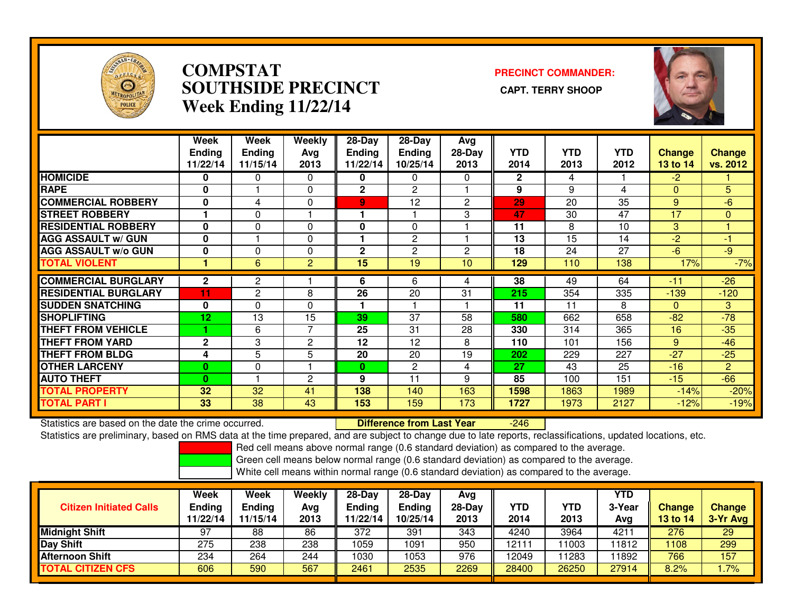

## **COMPSTAT PRECINCT COMMANDER: SOUTHSIDE PRECINCT CAPT. TERRY SHOOPWeek Ending 11/22/14**



|                             | Week<br><b>Ending</b><br>11/22/14 | Week<br><b>Ending</b><br>11/15/14 | <b>Weekly</b><br>Avg<br>2013 | $28$ -Day<br><b>Ending</b><br>11/22/14 | $28-Day$<br><b>Ending</b><br>10/25/14 | Avg<br>28-Day<br>2013 | <b>YTD</b><br>2014 | <b>YTD</b><br>2013 | <b>YTD</b><br>2012 | Change<br>13 to 14 | <b>Change</b><br>vs. 2012 |
|-----------------------------|-----------------------------------|-----------------------------------|------------------------------|----------------------------------------|---------------------------------------|-----------------------|--------------------|--------------------|--------------------|--------------------|---------------------------|
| <b>HOMICIDE</b>             | 0                                 | $\Omega$                          | $\Omega$                     | 0                                      | 0                                     | $\Omega$              | $\mathbf{2}$       | 4                  |                    | $-2$               |                           |
| <b>RAPE</b>                 | 0                                 |                                   | 0                            | $\mathbf{2}$                           | $\mathbf{2}^{\prime}$                 |                       | 9                  | 9                  | 4                  | $\Omega$           | 5                         |
| <b>COMMERCIAL ROBBERY</b>   | 0                                 | 4                                 | $\Omega$                     | 9                                      | 12                                    | $\overline{2}$        | 29                 | 20                 | 35                 | 9                  | $-6$                      |
| <b>STREET ROBBERY</b>       |                                   | 0                                 |                              |                                        |                                       | 3                     | 47                 | 30                 | 47                 | 17                 | $\mathbf{0}$              |
| <b>RESIDENTIAL ROBBERY</b>  | $\bf{0}$                          | $\Omega$                          | $\Omega$                     | $\bf{0}$                               | $\Omega$                              |                       | 11                 | 8                  | 10                 | 3                  |                           |
| <b>AGG ASSAULT w/ GUN</b>   | 0                                 |                                   | $\Omega$                     |                                        | $\mathbf{2}$                          |                       | 13                 | 15                 | 14                 | $-2$               | $-1$                      |
| <b>AGG ASSAULT w/o GUN</b>  | 0                                 | 0                                 | $\Omega$                     | $\mathbf{2}$                           | 2                                     | 2                     | 18                 | 24                 | 27                 | $-6$               | -9                        |
| <b>TOTAL VIOLENT</b>        |                                   | 6                                 | $\overline{2}$               | 15                                     | 19                                    | 10                    | 129                | 110                | 138                | 17%                | $-7%$                     |
| <b>COMMERCIAL BURGLARY</b>  | $\mathbf{2}$                      | $\overline{2}$                    |                              | 6                                      | 6                                     | 4                     | 38                 | 49                 | 64                 | $-11$              | $-26$                     |
| <b>RESIDENTIAL BURGLARY</b> | 11                                | 2                                 | 8                            | 26                                     | 20                                    | 31                    | 215                | 354                | 335                | $-139$             | $-120$                    |
| <b>SUDDEN SNATCHING</b>     | 0                                 | $\Omega$                          | $\Omega$                     |                                        |                                       |                       | 11                 | 11                 | 8                  | $\Omega$           | 3                         |
| <b>ISHOPLIFTING</b>         | 12                                | 13                                | 15                           | 39                                     | 37                                    | 58                    | 580                | 662                | 658                | $-82$              | $-78$                     |
| <b>THEFT FROM VEHICLE</b>   |                                   | 6                                 | 7                            | 25                                     | 31                                    | 28                    | 330                | 314                | 365                | 16                 | $-35$                     |
| <b>THEFT FROM YARD</b>      | $\mathbf 2$                       | 3                                 | 2                            | 12                                     | 12                                    | 8                     | 110                | 101                | 156                | 9                  | $-46$                     |
| <b>THEFT FROM BLDG</b>      | 4                                 | 5                                 | 5                            | 20                                     | 20                                    | 19                    | 202                | 229                | 227                | $-27$              | $-25$                     |
| <b>OTHER LARCENY</b>        | $\bf{0}$                          | $\Omega$                          |                              | $\mathbf{0}$                           | $\mathbf{2}^{\prime}$                 | 4                     | 27                 | 43                 | 25                 | $-16$              | $\overline{2}$            |
| <b>AUTO THEFT</b>           | $\bf{0}$                          |                                   | $\overline{c}$               | 9                                      | 11                                    | 9                     | 85                 | 100                | 151                | $-15$              | $-66$                     |
| <b>TOTAL PROPERTY</b>       | 32                                | 32                                | 41                           | 138                                    | 140                                   | 163                   | 1598               | 1863               | 1989               | $-14%$             | $-20%$                    |
| <b>TOTAL PART I</b>         | 33                                | 38                                | 43                           | 153                                    | 159                                   | 173                   | 1727               | 1973               | 2127               | $-12%$             | $-19%$                    |

Statistics are based on the date the crime occurred. **Difference from Last Year** 

-246

Statistics are preliminary, based on RMS data at the time prepared, and are subject to change due to late reports, reclassifications, updated locations, etc.

Red cell means above normal range (0.6 standard deviation) as compared to the average.

Green cell means below normal range (0.6 standard deviation) as compared to the average.

| <b>Citizen Initiated Calls</b> | Week<br><b>Ending</b><br>11/22/14 | Week<br><b>Ending</b><br>11/15/14 | Weekly<br>Avg<br>2013 | $28$ -Dav<br>Ending<br>1/22/14 | $28-Dav$<br><b>Ending</b><br>10/25/14 | Avg<br>$28-Day$<br>2013 | <b>YTD</b><br>2014 | YTD<br>2013 | <b>YTD</b><br>3-Year<br>Avg | <b>Change</b><br>13 to 14 | <b>Change</b><br>3-Yr Avg |
|--------------------------------|-----------------------------------|-----------------------------------|-----------------------|--------------------------------|---------------------------------------|-------------------------|--------------------|-------------|-----------------------------|---------------------------|---------------------------|
| <b>Midnight Shift</b>          | 97                                | 88                                | 86                    | 372                            | 391                                   | 343                     | 4240               | 3964        | 421                         | 276                       | 29                        |
| <b>Day Shift</b>               | 275                               | 238                               | 238                   | 1059                           | 1091                                  | 950                     | 12111              | 1003        | '1812                       | 1108                      | 299                       |
| <b>Afternoon Shift</b>         | 234                               | 264                               | 244                   | 1030                           | 1053                                  | 976                     | 12049              | 1283        | 1892                        | 766                       | 157                       |
| <b>TOTAL CITIZEN CFS</b>       | 606                               | 590                               | 567                   | 2461                           | 2535                                  | 2269                    | 28400              | 26250       | 27914                       | 8.2%                      | $.7\%$                    |
|                                |                                   |                                   |                       |                                |                                       |                         |                    |             |                             |                           |                           |